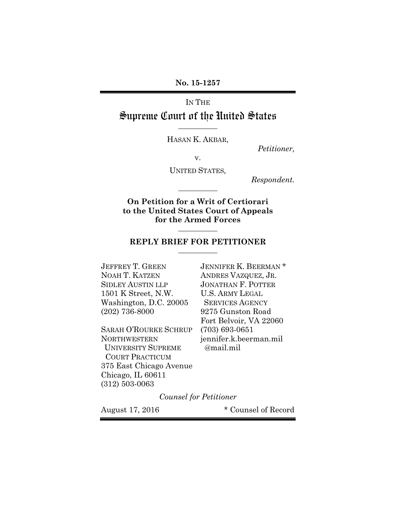**No. 15-1257** 

# IN THE Supreme Court of the United States

HASAN K. AKBAR,

**\_\_\_\_\_\_\_\_\_\_\_** 

*Petitioner,* 

v.

UNITED STATES*,*

**\_\_\_\_\_\_\_\_\_\_\_** 

*Respondent.* 

**On Petition for a Writ of Certiorari to the United States Court of Appeals for the Armed Forces** 

#### **REPLY BRIEF FOR PETITIONER \_\_\_\_\_\_\_\_\_\_\_**

**\_\_\_\_\_\_\_\_\_\_\_** 

JEFFREY T. GREEN JENNIFER K. BEERMAN\* NOAH T. KATZEN ANDRES VAZQUEZ, JR. SIDLEY AUSTIN LLP JONATHAN F. POTTER 1501 K Street, N.W. U.S. ARMY LEGAL Washington, D.C. 20005 SERVICES AGENCY (202) 736-8000 9275 Gunston Road

SARAH O'ROURKE SCHRUP (703) 693-0651 NORTHWESTERN jennifer.k.beerman.mil UNIVERSITY SUPREME @mail.mil COURT PRACTICUM 375 East Chicago Avenue Chicago, IL 60611 (312) 503-0063

Fort Belvoir, VA 22060

*Counsel for Petitioner* 

August 17, 2016 \* Counsel of Record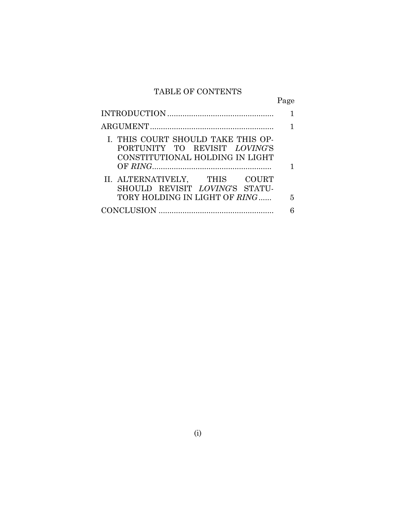## TABLE OF CONTENTS

|                                                                                                        | Page |
|--------------------------------------------------------------------------------------------------------|------|
|                                                                                                        |      |
|                                                                                                        |      |
| I. THIS COURT SHOULD TAKE THIS OP-<br>PORTUNITY TO REVISIT LOVING'S<br>CONSTITUTIONAL HOLDING IN LIGHT |      |
|                                                                                                        |      |
| II. ALTERNATIVELY, THIS COURT<br>SHOULD REVISIT LOVING'S STATU-                                        |      |
| TORY HOLDING IN LIGHT OF <i>RING</i>                                                                   | - 5  |
|                                                                                                        |      |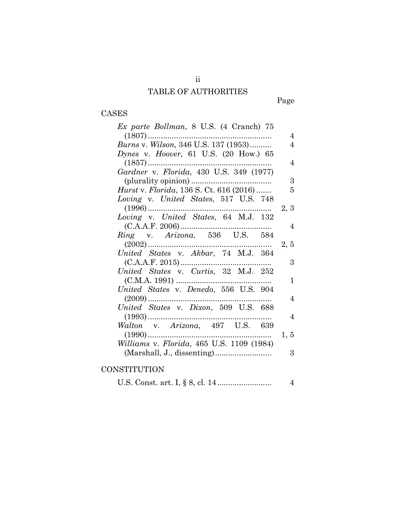## TABLE OF AUTHORITIES

# Page

## CASES

| Ex parte Bollman, 8 U.S. (4 Cranch) 75                                                                                                                                                                                                                                                                                                          |                |
|-------------------------------------------------------------------------------------------------------------------------------------------------------------------------------------------------------------------------------------------------------------------------------------------------------------------------------------------------|----------------|
|                                                                                                                                                                                                                                                                                                                                                 | 4              |
| Burns v. Wilson, 346 U.S. 137 (1953)                                                                                                                                                                                                                                                                                                            | 4              |
| Dynes v. Hoover, 61 U.S. $(20 \text{ How.}) 65$                                                                                                                                                                                                                                                                                                 |                |
|                                                                                                                                                                                                                                                                                                                                                 | 4              |
| Gardner v. Florida, 430 U.S. 349 (1977)                                                                                                                                                                                                                                                                                                         |                |
|                                                                                                                                                                                                                                                                                                                                                 | 3              |
| <i>Hurst v. Florida</i> , 136 S. Ct. 616 (2016)                                                                                                                                                                                                                                                                                                 | 5              |
| Loving v. United States, 517 U.S. 748                                                                                                                                                                                                                                                                                                           |                |
|                                                                                                                                                                                                                                                                                                                                                 | 2, 3           |
|                                                                                                                                                                                                                                                                                                                                                 |                |
| $\begin{array}{cccccc} \mbox{(C.A.A.F. 2006)} \dots & \nbox{800} & \nbox{800} & \nbox{800} & \nbox{800} & \nbox{800} & \nbox{800} & \nbox{800} & \nbox{800} & \nbox{800} & \nbox{800} & \nbox{800} & \nbox{800} & \nbox{800} & \nbox{800} & \nbox{800} & \nbox{800} & \nbox{800} & \nbox{800} & \nbox{800} & \nbox{800} & \nbox{800} & \nbox{8$ | -4             |
|                                                                                                                                                                                                                                                                                                                                                 |                |
|                                                                                                                                                                                                                                                                                                                                                 | 2, 5           |
| United States v. Akbar, 74 M.J. 364                                                                                                                                                                                                                                                                                                             |                |
|                                                                                                                                                                                                                                                                                                                                                 | 3              |
| United States v. Curtis, 32 M.J. 252                                                                                                                                                                                                                                                                                                            |                |
| $(C.M.A. 1991)$                                                                                                                                                                                                                                                                                                                                 | 1              |
| United States v. Denedo, 556 U.S. 904                                                                                                                                                                                                                                                                                                           |                |
|                                                                                                                                                                                                                                                                                                                                                 | $\overline{4}$ |
| United States v. Dixon, 509 U.S. 688                                                                                                                                                                                                                                                                                                            |                |
|                                                                                                                                                                                                                                                                                                                                                 | 4              |
| Walton v. Arizona, 497 U.S. 639                                                                                                                                                                                                                                                                                                                 |                |
|                                                                                                                                                                                                                                                                                                                                                 | 1, 5           |
| Williams v. Florida, 465 U.S. 1109 (1984)                                                                                                                                                                                                                                                                                                       |                |
|                                                                                                                                                                                                                                                                                                                                                 | 3              |

### **CONSTITUTION**

U.S. Const. art. I, § 8, cl. 14 ......................... 4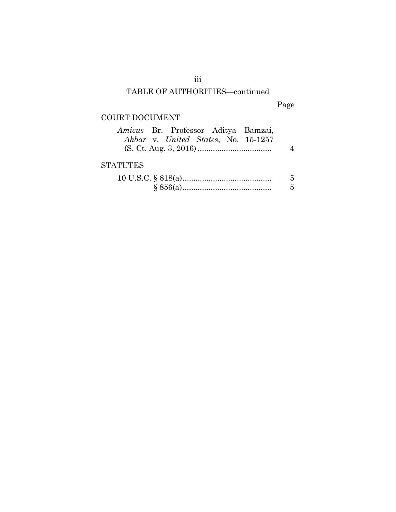## TABLE OF AUTHORITIES-continued

Page

## COURT DOCUMENT

| Amicus Br. Professor Aditya Bamzai, |  |  |                                     |   |
|-------------------------------------|--|--|-------------------------------------|---|
|                                     |  |  | Akbar v. United States, No. 15-1257 |   |
|                                     |  |  |                                     |   |
|                                     |  |  |                                     |   |
| <b>STATUTES</b>                     |  |  |                                     |   |
|                                     |  |  |                                     | 5 |
|                                     |  |  |                                     |   |

iii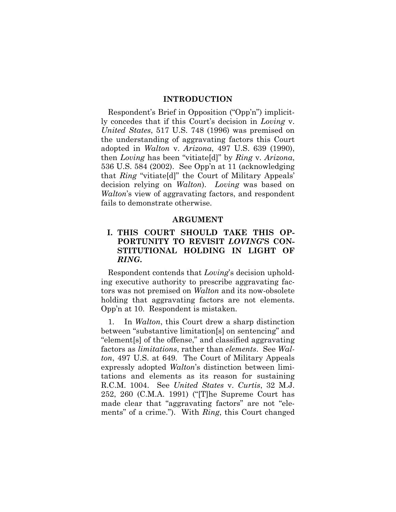#### **INTRODUCTION**

Respondent's Brief in Opposition ("Opp'n") implicitly concedes that if this Court's decision in *Loving* v. *United States*, 517 U.S. 748 (1996) was premised on the understanding of aggravating factors this Court adopted in *Walton* v. *Arizona*, 497 U.S. 639 (1990), then *Loving* has been "vitiate[d]" by *Ring* v. *Arizona*, 536 U.S. 584 (2002). See Opp'n at 11 (acknowledging that *Ring* "vitiate[d]" the Court of Military Appeals' decision relying on *Walton*). *Loving* was based on *Walton*'s view of aggravating factors, and respondent fails to demonstrate otherwise.

#### **ARGUMENT**

### **I. THIS COURT SHOULD TAKE THIS OP-PORTUNITY TO REVISIT** *LOVING***'S CON-STITUTIONAL HOLDING IN LIGHT OF**  *RING***.**

Respondent contends that *Loving*'s decision upholding executive authority to prescribe aggravating factors was not premised on *Walton* and its now-obsolete holding that aggravating factors are not elements. Opp'n at 10. Respondent is mistaken.

1. In *Walton*, this Court drew a sharp distinction between "substantive limitation[s] on sentencing" and "element[s] of the offense," and classified aggravating factors as *limitations*, rather than *elements*. See *Walton*, 497 U.S. at 649. The Court of Military Appeals expressly adopted *Walton*'s distinction between limitations and elements as its reason for sustaining R.C.M. 1004. See *United States* v. *Curtis*, 32 M.J. 252, 260 (C.M.A. 1991) ("[T]he Supreme Court has made clear that "aggravating factors" are not "elements" of a crime."). With *Ring*, this Court changed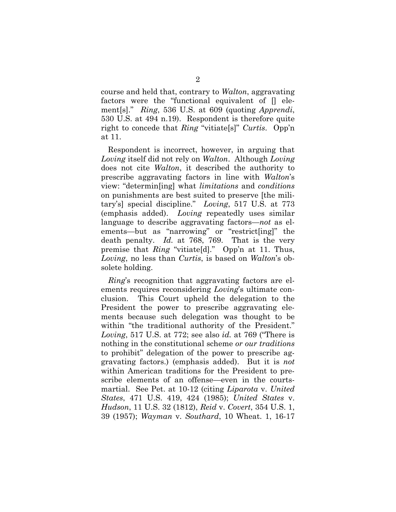course and held that, contrary to *Walton*, aggravating factors were the "functional equivalent of [] element[s]." *Ring*, 536 U.S. at 609 (quoting *Apprendi*, 530 U.S. at 494 n.19). Respondent is therefore quite right to concede that *Ring* "vitiate[s]" *Curtis*. Opp'n at 11.

Respondent is incorrect, however, in arguing that *Loving* itself did not rely on *Walton*. Although *Loving*  does not cite *Walton*, it described the authority to prescribe aggravating factors in line with *Walton*'s view: "determin[ing] what *limitations* and *conditions*  on punishments are best suited to preserve [the military's] special discipline." *Loving*, 517 U.S. at 773 (emphasis added). *Loving* repeatedly uses similar language to describe aggravating factors—*not* as elements—but as "narrowing" or "restrict[ing]" the death penalty. *Id.* at 768, 769. That is the very premise that *Ring* "vitiate[d]." Opp'n at 11. Thus, *Loving*, no less than *Curtis*, is based on *Walton*'s obsolete holding.

*Ring*'s recognition that aggravating factors are elements requires reconsidering *Loving*'s ultimate conclusion. This Court upheld the delegation to the President the power to prescribe aggravating elements because such delegation was thought to be within "the traditional authority of the President." *Loving*, 517 U.S. at 772; see also *id.* at 769 ("There is nothing in the constitutional scheme *or our traditions* to prohibit" delegation of the power to prescribe aggravating factors.) (emphasis added). But it is *not* within American traditions for the President to prescribe elements of an offense—even in the courtsmartial. See Pet. at 10-12 (citing *Liparota* v. *United States*, 471 U.S. 419, 424 (1985); *United States* v. *Hudson*, 11 U.S. 32 (1812), *Reid* v. *Covert*, 354 U.S. 1, 39 (1957); *Wayman* v. *Southard*, 10 Wheat. 1, 16-17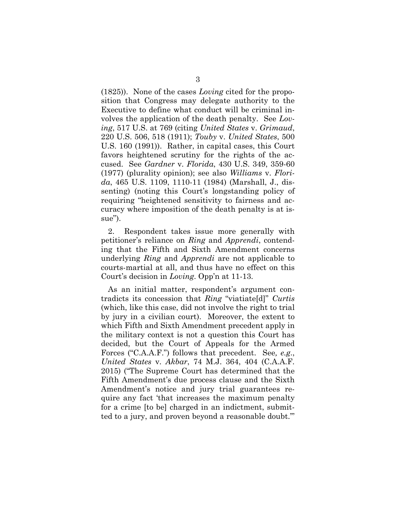(1825)). None of the cases *Loving* cited for the proposition that Congress may delegate authority to the Executive to define what conduct will be criminal involves the application of the death penalty. See *Loving*, 517 U.S. at 769 (citing *United States* v. *Grimaud*, 220 U.S. 506, 518 (1911); *Touby* v. *United States*, 500 U.S. 160 (1991)). Rather, in capital cases, this Court favors heightened scrutiny for the rights of the accused. See *Gardner* v. *Florida*, 430 U.S. 349, 359-60 (1977) (plurality opinion); see also *Williams* v. *Florida*, 465 U.S. 1109, 1110-11 (1984) (Marshall, J., dissenting) (noting this Court's longstanding policy of requiring "heightened sensitivity to fairness and accuracy where imposition of the death penalty is at issue").

2. Respondent takes issue more generally with petitioner's reliance on *Ring* and *Apprendi*, contending that the Fifth and Sixth Amendment concerns underlying *Ring* and *Apprendi* are not applicable to courts-martial at all, and thus have no effect on this Court's decision in *Loving*. Opp'n at 11-13.

As an initial matter, respondent's argument contradicts its concession that *Ring* "viatiate[d]" *Curtis* (which, like this case, did not involve the right to trial by jury in a civilian court). Moreover, the extent to which Fifth and Sixth Amendment precedent apply in the military context is not a question this Court has decided, but the Court of Appeals for the Armed Forces ("C.A.A.F.") follows that precedent. See*, e.g*., *United States* v. *Akbar*, 74 M.J. 364, 404 (C.A.A.F. 2015) ("The Supreme Court has determined that the Fifth Amendment's due process clause and the Sixth Amendment's notice and jury trial guarantees require any fact 'that increases the maximum penalty for a crime [to be] charged in an indictment, submitted to a jury, and proven beyond a reasonable doubt.'"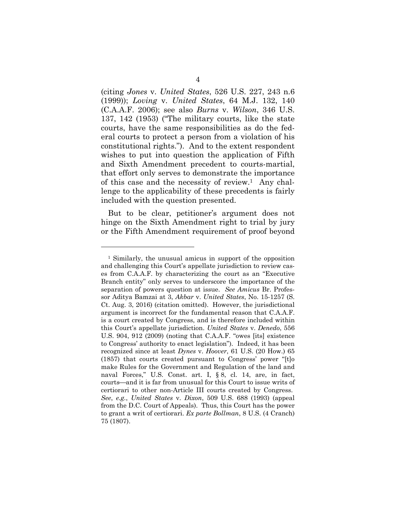(citing *Jones* v. *United States*, 526 U.S. 227, 243 n.6 (1999)); *Loving* v. *United States*, 64 M.J. 132, 140 (C.A.A.F. 2006); see also *Burns* v. *Wilson*, 346 U.S. 137, 142 (1953) ("The military courts, like the state courts, have the same responsibilities as do the federal courts to protect a person from a violation of his constitutional rights."). And to the extent respondent wishes to put into question the application of Fifth and Sixth Amendment precedent to courts-martial, that effort only serves to demonstrate the importance of this case and the necessity of review.1 Any challenge to the applicability of these precedents is fairly included with the question presented.

But to be clear, petitioner's argument does not hinge on the Sixth Amendment right to trial by jury or the Fifth Amendment requirement of proof beyond

l

<sup>1</sup> Similarly, the unusual amicus in support of the opposition and challenging this Court's appellate jurisdiction to review cases from C.A.A.F. by characterizing the court as an "Executive Branch entity" only serves to underscore the importance of the separation of powers question at issue. *See Amicus* Br. Professor Aditya Bamzai at 3, *Akbar* v. *United States*, No. 15-1257 (S. Ct. Aug. 3, 2016) (citation omitted). However, the jurisdictional argument is incorrect for the fundamental reason that C.A.A.F. is a court created by Congress, and is therefore included within this Court's appellate jurisdiction. *United States* v. *Denedo*, 556 U.S. 904, 912 (2009) (noting that C.A.A.F. "owes [its] existence to Congress' authority to enact legislation"). Indeed, it has been recognized since at least *Dynes* v. *Hoover*, 61 U.S. (20 How.) 65 (1857) that courts created pursuant to Congress' power "[t]o make Rules for the Government and Regulation of the land and naval Forces," U.S. Const. art. I, § 8, cl. 14, are, in fact, courts—and it is far from unusual for this Court to issue writs of certiorari to other non-Article III courts created by Congress. *See*, *e.g.*, *United States* v. *Dixon*, 509 U.S. 688 (1993) (appeal from the D.C. Court of Appeals). Thus, this Court has the power to grant a writ of certiorari. *Ex parte Bollman*, 8 U.S. (4 Cranch) 75 (1807).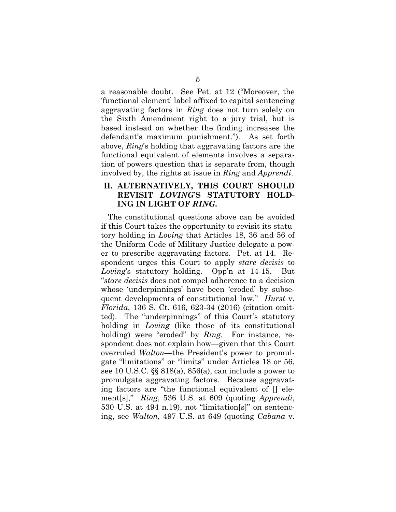a reasonable doubt. See Pet. at 12 ("Moreover, the 'functional element' label affixed to capital sentencing aggravating factors in *Ring* does not turn solely on the Sixth Amendment right to a jury trial, but is based instead on whether the finding increases the defendant's maximum punishment."). As set forth above, *Ring*'s holding that aggravating factors are the functional equivalent of elements involves a separation of powers question that is separate from, though involved by, the rights at issue in *Ring* and *Apprendi*.

### **II. ALTERNATIVELY, THIS COURT SHOULD REVISIT** *LOVING***'S STATUTORY HOLD-ING IN LIGHT OF** *RING***.**

The constitutional questions above can be avoided if this Court takes the opportunity to revisit its statutory holding in *Loving* that Articles 18, 36 and 56 of the Uniform Code of Military Justice delegate a power to prescribe aggravating factors. Pet. at 14. Respondent urges this Court to apply *stare decisis* to *Loving*'s statutory holding. Opp'n at 14-15. But "*stare decisis* does not compel adherence to a decision whose 'underpinnings' have been 'eroded' by subsequent developments of constitutional law." *Hurst* v. *Florida*, 136 S. Ct. 616, 623-34 (2016) (citation omitted). The "underpinnings" of this Court's statutory holding in *Loving* (like those of its constitutional holding) were "eroded" by *Ring*. For instance, respondent does not explain how—given that this Court overruled *Walton*—the President's power to promulgate "limitations" or "limits" under Articles 18 or 56, see 10 U.S.C. §§ 818(a), 856(a), can include a power to promulgate aggravating factors. Because aggravating factors are "the functional equivalent of [] element[s]," *Ring*, 536 U.S. at 609 (quoting *Apprendi*, 530 U.S. at 494 n.19), not "limitation[s]" on sentencing, see *Walton*, 497 U.S. at 649 (quoting *Cabana* v.